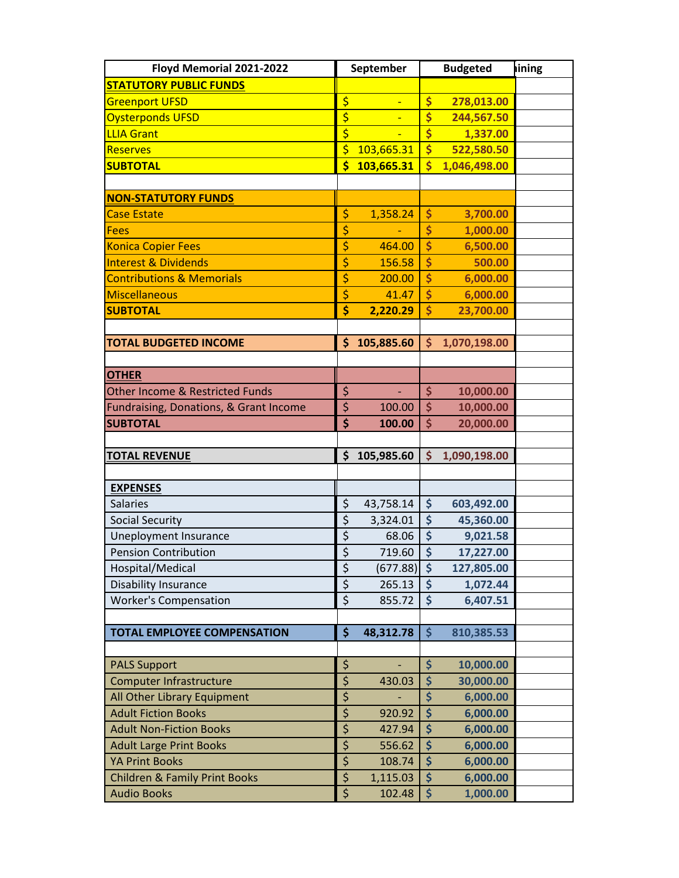| Floyd Memorial 2021-2022                                  |                                           | September        |                                           | <b>Budgeted</b>      | lining |
|-----------------------------------------------------------|-------------------------------------------|------------------|-------------------------------------------|----------------------|--------|
| <b>STATUTORY PUBLIC FUNDS</b>                             |                                           |                  |                                           |                      |        |
| <b>Greenport UFSD</b>                                     | \$                                        |                  | \$                                        | 278,013.00           |        |
| <b>Oysterponds UFSD</b>                                   | \$                                        | Ξ                | \$                                        | 244,567.50           |        |
| <b>LLIA Grant</b>                                         | $\overline{\boldsymbol{\varsigma}}$       |                  | \$                                        | 1,337.00             |        |
| <b>Reserves</b>                                           | \$                                        | 103,665.31       | \$                                        | 522,580.50           |        |
| <b>SUBTOTAL</b>                                           | \$                                        | 103,665.31       | $\overline{\mathsf{S}}$                   | 1,046,498.00         |        |
|                                                           |                                           |                  |                                           |                      |        |
| <b>NON-STATUTORY FUNDS</b>                                |                                           |                  |                                           |                      |        |
| <b>Case Estate</b>                                        | \$                                        | 1,358.24         | \$                                        | 3,700.00             |        |
| <b>Fees</b>                                               | \$                                        |                  | \$                                        | 1,000.00             |        |
| <b>Konica Copier Fees</b>                                 | \$                                        | 464.00           | \$                                        | 6,500.00             |        |
| <b>Interest &amp; Dividends</b>                           | \$                                        | 156.58           | \$                                        | 500.00               |        |
| <b>Contributions &amp; Memorials</b>                      | \$                                        | 200.00           | \$                                        | 6,000.00             |        |
| Miscellaneous                                             | \$                                        | 41.47            | \$                                        | 6,000.00             |        |
| <b>SUBTOTAL</b>                                           | \$                                        | 2,220.29         | \$                                        | 23,700.00            |        |
|                                                           |                                           |                  |                                           |                      |        |
| <b>TOTAL BUDGETED INCOME</b>                              | \$                                        | 105,885.60       | \$                                        | 1,070,198.00         |        |
|                                                           |                                           |                  |                                           |                      |        |
| <b>OTHER</b>                                              |                                           |                  |                                           |                      |        |
| <b>Other Income &amp; Restricted Funds</b>                | \$                                        | ÷,               | \$                                        | 10,000.00            |        |
| Fundraising, Donations, & Grant Income                    | $\overline{\xi}$                          | 100.00           | $\overline{\boldsymbol{\zeta}}$           | 10,000.00            |        |
| <b>SUBTOTAL</b>                                           | \$                                        | 100.00           | \$                                        | 20,000.00            |        |
|                                                           |                                           |                  |                                           |                      |        |
| <b>TOTAL REVENUE</b>                                      | \$                                        | 105,985.60       | \$                                        | 1,090,198.00         |        |
|                                                           |                                           |                  |                                           |                      |        |
| <b>EXPENSES</b>                                           |                                           |                  |                                           |                      |        |
| <b>Salaries</b>                                           | \$                                        | 43,758.14        | \$                                        | 603,492.00           |        |
| <b>Social Security</b>                                    | \$                                        | 3,324.01         | \$                                        | 45,360.00            |        |
| Uneployment Insurance                                     | \$                                        | 68.06            | \$                                        | 9,021.58             |        |
| <b>Pension Contribution</b>                               | $\overline{\xi}$                          | 719.60           | \$                                        | 17,227.00            |        |
| Hospital/Medical                                          | \$                                        | (677.88)         | $\ddot{\bm{\zeta}}$                       | 127,805.00           |        |
| <b>Disability Insurance</b>                               | \$                                        | 265.13           | $\ddot{\bm{\zeta}}$                       | 1,072.44             |        |
| <b>Worker's Compensation</b>                              | $\overline{\xi}$                          | 855.72           | \$                                        | 6,407.51             |        |
|                                                           |                                           |                  |                                           |                      |        |
| <b>TOTAL EMPLOYEE COMPENSATION</b>                        | \$                                        | 48,312.78        | $\frac{1}{2}$                             | 810,385.53           |        |
|                                                           |                                           |                  |                                           |                      |        |
| <b>PALS Support</b>                                       | \$<br>\$                                  |                  | \$<br>\$                                  | 10,000.00            |        |
| <b>Computer Infrastructure</b>                            |                                           | 430.03           |                                           | 30,000.00            |        |
| All Other Library Equipment<br><b>Adult Fiction Books</b> | \$<br>$\overline{\boldsymbol{\varsigma}}$ | 920.92           | \$<br>$\overline{\boldsymbol{\varsigma}}$ | 6,000.00<br>6,000.00 |        |
| <b>Adult Non-Fiction Books</b>                            | \$                                        | 427.94           | \$                                        |                      |        |
|                                                           | \$                                        |                  | \$                                        | 6,000.00             |        |
| <b>Adult Large Print Books</b><br><b>YA Print Books</b>   | \$                                        | 556.62<br>108.74 | \$                                        | 6,000.00<br>6,000.00 |        |
| <b>Children &amp; Family Print Books</b>                  | \$                                        | 1,115.03         | \$                                        | 6,000.00             |        |
| <b>Audio Books</b>                                        | \$                                        | 102.48           | \$                                        | 1,000.00             |        |
|                                                           |                                           |                  |                                           |                      |        |